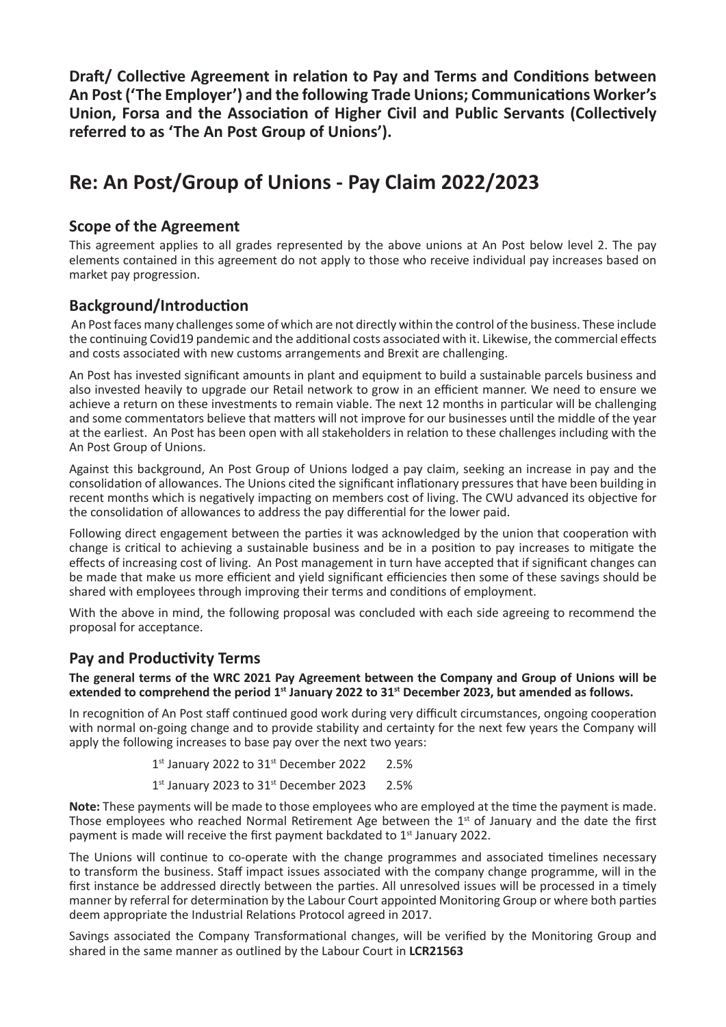**Draft/ Collective Agreement in relation to Pay and Terms and Conditions between** An Post ('The Employer') and the following Trade Unions; Communications Worker's **Union, Forsa and the Association of Higher Civil and Public Servants (Collectively referred to as 'The An Post Group of Unions').**

# **Re: An Post/Group of Unions - Pay Claim 2022/2023**

#### **Scope of the Agreement**

This agreement applies to all grades represented by the above unions at An Post below level 2. The pay elements contained in this agreement do not apply to those who receive individual pay increases based on market pay progression.

### **Background/Introduction**

 An Post faces many challenges some of which are not directly within the control of the business. These include the continuing Covid19 pandemic and the additional costs associated with it. Likewise, the commercial effects and costs associated with new customs arrangements and Brexit are challenging.

An Post has invested significant amounts in plant and equipment to build a sustainable parcels business and also invested heavily to upgrade our Retail network to grow in an efficient manner. We need to ensure we achieve a return on these investments to remain viable. The next 12 months in particular will be challenging and some commentators believe that matters will not improve for our businesses until the middle of the year at the earliest. An Post has been open with all stakeholders in relation to these challenges including with the An Post Group of Unions.

Against this background, An Post Group of Unions lodged a pay claim, seeking an increase in pay and the consolidation of allowances. The Unions cited the significant inflationary pressures that have been building in recent months which is negatively impacting on members cost of living. The CWU advanced its objective for the consolidation of allowances to address the pay differential for the lower paid.

Following direct engagement between the parties it was acknowledged by the union that cooperation with change is critical to achieving a sustainable business and be in a position to pay increases to mitigate the effects of increasing cost of living. An Post management in turn have accepted that if significant changes can be made that make us more efficient and yield significant efficiencies then some of these savings should be shared with employees through improving their terms and conditions of employment.

With the above in mind, the following proposal was concluded with each side agreeing to recommend the proposal for acceptance.

### **Pay and Productivity Terms**

**The general terms of the WRC 2021 Pay Agreement between the Company and Group of Unions will be**  extended to comprehend the period 1<sup>st</sup> January 2022 to 31<sup>st</sup> December 2023, but amended as follows.

In recognition of An Post staff continued good work during very difficult circumstances, ongoing cooperation with normal on-going change and to provide stability and certainty for the next few years the Company will apply the following increases to base pay over the next two years:

 $1<sup>st</sup>$  January 2022 to  $31<sup>st</sup>$  December 2022 2.5%

 $1<sup>st</sup>$  January 2023 to 31 $<sup>st</sup>$  December 2023 2.5%</sup>

Note: These payments will be made to those employees who are employed at the time the payment is made. Those employees who reached Normal Retirement Age between the  $1<sup>st</sup>$  of January and the date the first payment is made will receive the first payment backdated to 1<sup>st</sup> January 2022.

The Unions will continue to co-operate with the change programmes and associated timelines necessary to transform the business. Staff impact issues associated with the company change programme, will in the first instance be addressed directly between the parties. All unresolved issues will be processed in a timely manner by referral for determination by the Labour Court appointed Monitoring Group or where both parties deem appropriate the Industrial Relations Protocol agreed in 2017.

Savings associated the Company Transformational changes, will be verified by the Monitoring Group and shared in the same manner as outlined by the Labour Court in **LCR21563**